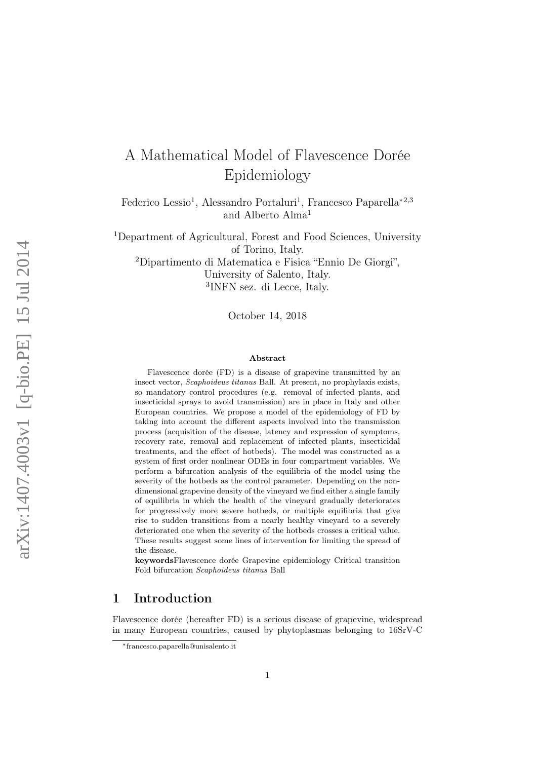# A Mathematical Model of Flavescence Dorée Epidemiology

Federico Lessio<sup>1</sup>, Alessandro Portaluri<sup>1</sup>, Francesco Paparella<sup>\*2,3</sup> and Alberto Alma<sup>1</sup>

<sup>1</sup>Department of Agricultural, Forest and Food Sciences, University of Torino, Italy.

<sup>2</sup>Dipartimento di Matematica e Fisica "Ennio De Giorgi", University of Salento, Italy.

3 INFN sez. di Lecce, Italy.

October 14, 2018

#### Abstract

Flavescence dorée (FD) is a disease of grapevine transmitted by an insect vector, Scaphoideus titanus Ball. At present, no prophylaxis exists, so mandatory control procedures (e.g. removal of infected plants, and insecticidal sprays to avoid transmission) are in place in Italy and other European countries. We propose a model of the epidemiology of FD by taking into account the different aspects involved into the transmission process (acquisition of the disease, latency and expression of symptoms, recovery rate, removal and replacement of infected plants, insecticidal treatments, and the effect of hotbeds). The model was constructed as a system of first order nonlinear ODEs in four compartment variables. We perform a bifurcation analysis of the equilibria of the model using the severity of the hotbeds as the control parameter. Depending on the nondimensional grapevine density of the vineyard we find either a single family of equilibria in which the health of the vineyard gradually deteriorates for progressively more severe hotbeds, or multiple equilibria that give rise to sudden transitions from a nearly healthy vineyard to a severely deteriorated one when the severity of the hotbeds crosses a critical value. These results suggest some lines of intervention for limiting the spread of the disease.

keywordsFlavescence dorée Grapevine epidemiology Critical transition Fold bifurcation Scaphoideus titanus Ball

# 1 Introduction

Flavescence dorée (hereafter FD) is a serious disease of grapevine, widespread in many European countries, caused by phytoplasmas belonging to 16SrV-C

<sup>∗</sup>francesco.paparella@unisalento.it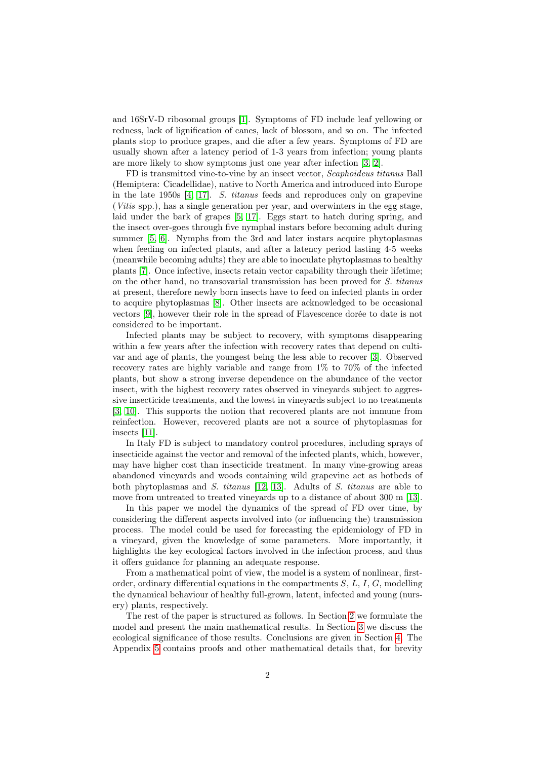and 16SrV-D ribosomal groups [\[1\]](#page-20-0). Symptoms of FD include leaf yellowing or redness, lack of lignification of canes, lack of blossom, and so on. The infected plants stop to produce grapes, and die after a few years. Symptoms of FD are usually shown after a latency period of 1-3 years from infection; young plants are more likely to show symptoms just one year after infection [\[3,](#page-20-1) [2\]](#page-20-2).

FD is transmitted vine-to-vine by an insect vector, Scaphoideus titanus Ball (Hemiptera: Cicadellidae), native to North America and introduced into Europe in the late 1950s [\[4,](#page-20-3) [17\]](#page-21-0). S. titanus feeds and reproduces only on grapevine (Vitis spp.), has a single generation per year, and overwinters in the egg stage, laid under the bark of grapes [\[5,](#page-20-4) [17\]](#page-21-0). Eggs start to hatch during spring, and the insect over-goes through five nymphal instars before becoming adult during summer [\[5,](#page-20-4) [6\]](#page-20-5). Nymphs from the 3rd and later instars acquire phytoplasmas when feeding on infected plants, and after a latency period lasting 4-5 weeks (meanwhile becoming adults) they are able to inoculate phytoplasmas to healthy plants [\[7\]](#page-20-6). Once infective, insects retain vector capability through their lifetime; on the other hand, no transovarial transmission has been proved for S. titanus at present, therefore newly born insects have to feed on infected plants in order to acquire phytoplasmas [\[8\]](#page-21-1). Other insects are acknowledged to be occasional vectors [\[9\]](#page-21-2), however their role in the spread of Flavescence dorée to date is not considered to be important.

Infected plants may be subject to recovery, with symptoms disappearing within a few years after the infection with recovery rates that depend on cultivar and age of plants, the youngest being the less able to recover [\[3\]](#page-20-1). Observed recovery rates are highly variable and range from 1% to 70% of the infected plants, but show a strong inverse dependence on the abundance of the vector insect, with the highest recovery rates observed in vineyards subject to aggressive insecticide treatments, and the lowest in vineyards subject to no treatments [\[3,](#page-20-1) [10\]](#page-21-3). This supports the notion that recovered plants are not immune from reinfection. However, recovered plants are not a source of phytoplasmas for insects [\[11\]](#page-21-4).

In Italy FD is subject to mandatory control procedures, including sprays of insecticide against the vector and removal of the infected plants, which, however, may have higher cost than insecticide treatment. In many vine-growing areas abandoned vineyards and woods containing wild grapevine act as hotbeds of both phytoplasmas and S. titanus [\[12,](#page-21-5) [13\]](#page-21-6). Adults of S. titanus are able to move from untreated to treated vineyards up to a distance of about 300 m [\[13\]](#page-21-6).

In this paper we model the dynamics of the spread of FD over time, by considering the different aspects involved into (or influencing the) transmission process. The model could be used for forecasting the epidemiology of FD in a vineyard, given the knowledge of some parameters. More importantly, it highlights the key ecological factors involved in the infection process, and thus it offers guidance for planning an adequate response.

From a mathematical point of view, the model is a system of nonlinear, firstorder, ordinary differential equations in the compartments  $S, L, I, G$ , modelling the dynamical behaviour of healthy full-grown, latent, infected and young (nursery) plants, respectively.

The rest of the paper is structured as follows. In Section [2](#page-2-0) we formulate the model and present the main mathematical results. In Section [3](#page-11-0) we discuss the ecological significance of those results. Conclusions are given in Section [4.](#page-15-0) The Appendix [5](#page-17-0) contains proofs and other mathematical details that, for brevity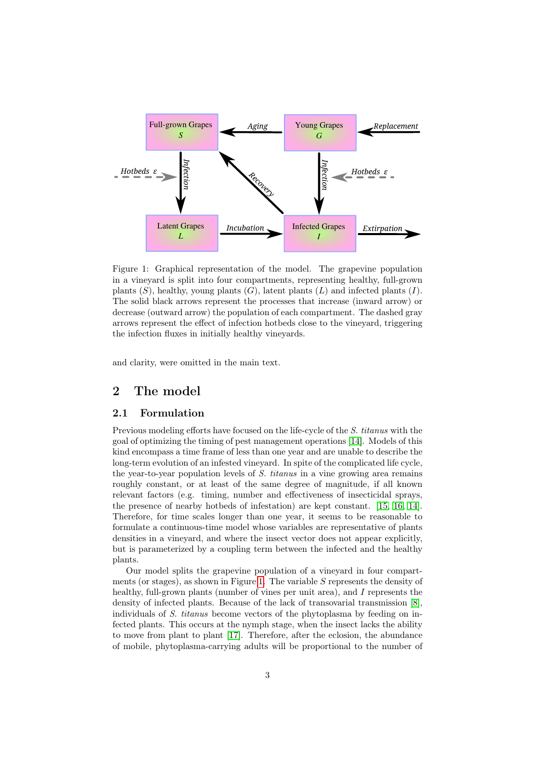

<span id="page-2-1"></span>Figure 1: Graphical representation of the model. The grapevine population in a vineyard is split into four compartments, representing healthy, full-grown plants  $(S)$ , healthy, young plants  $(G)$ , latent plants  $(L)$  and infected plants  $(I)$ . The solid black arrows represent the processes that increase (inward arrow) or decrease (outward arrow) the population of each compartment. The dashed gray arrows represent the effect of infection hotbeds close to the vineyard, triggering the infection fluxes in initially healthy vineyards.

and clarity, were omitted in the main text.

# <span id="page-2-0"></span>2 The model

#### 2.1 Formulation

Previous modeling efforts have focused on the life-cycle of the S. titanus with the goal of optimizing the timing of pest management operations [\[14\]](#page-21-7). Models of this kind encompass a time frame of less than one year and are unable to describe the long-term evolution of an infested vineyard. In spite of the complicated life cycle, the year-to-year population levels of  $S$ , titanus in a vine growing area remains roughly constant, or at least of the same degree of magnitude, if all known relevant factors (e.g. timing, number and effectiveness of insecticidal sprays, the presence of nearby hotbeds of infestation) are kept constant. [\[15,](#page-21-8) [16,](#page-21-9) [14\]](#page-21-7). Therefore, for time scales longer than one year, it seems to be reasonable to formulate a continuous-time model whose variables are representative of plants densities in a vineyard, and where the insect vector does not appear explicitly, but is parameterized by a coupling term between the infected and the healthy plants.

Our model splits the grapevine population of a vineyard in four compart-ments (or stages), as shown in Figure [1.](#page-2-1) The variable  $S$  represents the density of healthy, full-grown plants (number of vines per unit area), and I represents the density of infected plants. Because of the lack of transovarial transmission [\[8\]](#page-21-1), individuals of S. titanus become vectors of the phytoplasma by feeding on infected plants. This occurs at the nymph stage, when the insect lacks the ability to move from plant to plant [\[17\]](#page-21-0). Therefore, after the eclosion, the abundance of mobile, phytoplasma-carrying adults will be proportional to the number of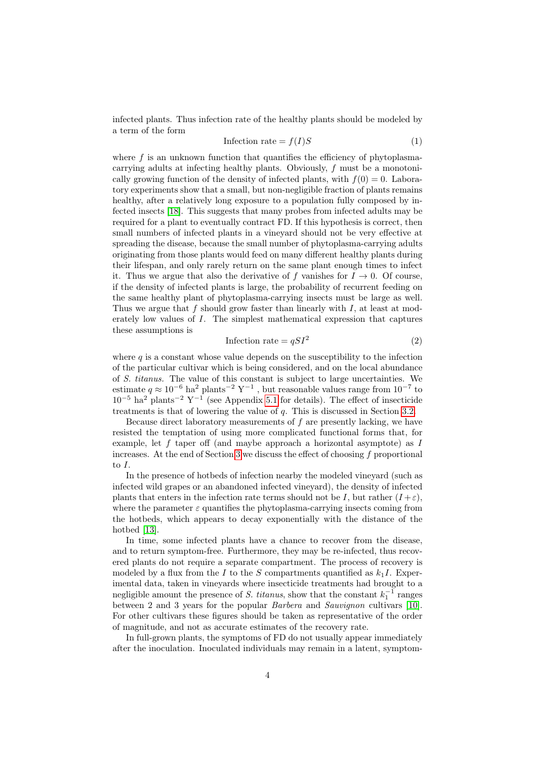infected plants. Thus infection rate of the healthy plants should be modeled by a term of the form

<span id="page-3-1"></span>
$$
Inflection rate = f(I)S
$$
\n<sup>(1)</sup>

where  $f$  is an unknown function that quantifies the efficiency of phytoplasmacarrying adults at infecting healthy plants. Obviously, f must be a monotonically growing function of the density of infected plants, with  $f(0) = 0$ . Laboratory experiments show that a small, but non-negligible fraction of plants remains healthy, after a relatively long exposure to a population fully composed by infected insects [\[18\]](#page-21-10). This suggests that many probes from infected adults may be required for a plant to eventually contract FD. If this hypothesis is correct, then small numbers of infected plants in a vineyard should not be very effective at spreading the disease, because the small number of phytoplasma-carrying adults originating from those plants would feed on many different healthy plants during their lifespan, and only rarely return on the same plant enough times to infect it. Thus we argue that also the derivative of f vanishes for  $I \rightarrow 0$ . Of course, if the density of infected plants is large, the probability of recurrent feeding on the same healthy plant of phytoplasma-carrying insects must be large as well. Thus we argue that  $f$  should grow faster than linearly with  $I$ , at least at moderately low values of I. The simplest mathematical expression that captures these assumptions is

<span id="page-3-0"></span>
$$
Inflection rate = qSI^2
$$
 (2)

where  $q$  is a constant whose value depends on the susceptibility to the infection of the particular cultivar which is being considered, and on the local abundance of S. titanus. The value of this constant is subject to large uncertainties. We estimate  $q \approx 10^{-6}$  ha<sup>2</sup> plants<sup>-2</sup> Y<sup>-1</sup>, but reasonable values range from  $10^{-7}$  to  $10^{-5}$  ha<sup>2</sup> plants<sup>-2</sup> Y<sup>-1</sup> (see Appendix [5.1](#page-17-1) for details). The effect of insecticide treatments is that of lowering the value of q. This is discussed in Section [3.2.](#page-13-0)

Because direct laboratory measurements of f are presently lacking, we have resisted the temptation of using more complicated functional forms that, for example, let f taper off (and maybe approach a horizontal asymptote) as  $I$ increases. At the end of Section [3](#page-11-0) we discuss the effect of choosing  $f$  proportional to I.

In the presence of hotbeds of infection nearby the modeled vineyard (such as infected wild grapes or an abandoned infected vineyard), the density of infected plants that enters in the infection rate terms should not be I, but rather  $(I + \varepsilon)$ , where the parameter  $\varepsilon$  quantifies the phytoplasma-carrying insects coming from the hotbeds, which appears to decay exponentially with the distance of the hotbed [\[13\]](#page-21-6).

In time, some infected plants have a chance to recover from the disease, and to return symptom-free. Furthermore, they may be re-infected, thus recovered plants do not require a separate compartment. The process of recovery is modeled by a flux from the I to the S compartments quantified as  $k_1I$ . Experimental data, taken in vineyards where insecticide treatments had brought to a negligible amount the presence of S. titanus, show that the constant  $k_1^{-1}$  ranges between 2 and 3 years for the popular Barbera and Sauvignon cultivars [\[10\]](#page-21-3). For other cultivars these figures should be taken as representative of the order of magnitude, and not as accurate estimates of the recovery rate.

In full-grown plants, the symptoms of FD do not usually appear immediately after the inoculation. Inoculated individuals may remain in a latent, symptom-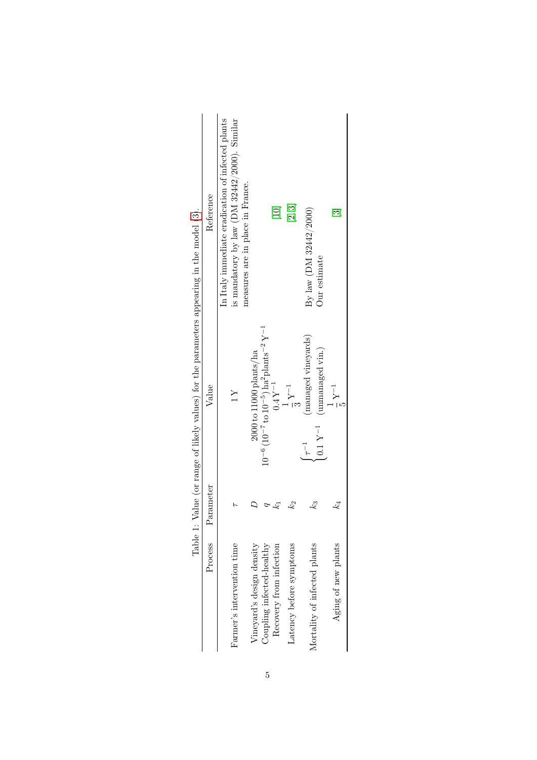<span id="page-4-0"></span>

|                              |           | respectively and the property verifies of the personal version of the control of the control of the control of the control of the control of the control of the control of the control of the control of the control of the co |                                                                                                      |
|------------------------------|-----------|--------------------------------------------------------------------------------------------------------------------------------------------------------------------------------------------------------------------------------|------------------------------------------------------------------------------------------------------|
| Process                      | Parameter | Value                                                                                                                                                                                                                          | Reference                                                                                            |
| Farmer's intervention time   |           | $\geq$                                                                                                                                                                                                                         | is mandatory by law ( $DM$ 32442/2000). Similar<br>In Italy immediate eradication of infected plants |
| Vineyard's design density    |           | $2000$ to $11000$ plants/ha                                                                                                                                                                                                    | measures are in place in France.                                                                     |
| Coupling infected-healthy    |           | $10^{-6}$ (10 <sup>-7</sup> to $10^{-5}$ ) ha <sup>2</sup> plants <sup>-2</sup> Y <sup>-1</sup>                                                                                                                                |                                                                                                      |
| Recovery from infection      | 4         | $0.4Y^{-1}$                                                                                                                                                                                                                    | $[10]$                                                                                               |
| Latency before symptoms      | $k_2$     | $\frac{1}{3}Y^{-1}$                                                                                                                                                                                                            | [2, 3]                                                                                               |
| Mortality of infected plants | k3        | (managed vineyards)<br>(unmanaged vin.)<br>$0.1~\mathrm{Y^{-1}}$<br>$\tau^{-1}$                                                                                                                                                | By law (DM 32442/2000)<br>Our estimate                                                               |
| Aging of new plants          | $k_{4}$   | $\frac{1}{5}Y^{-1}$                                                                                                                                                                                                            | $\Xi$                                                                                                |
|                              |           |                                                                                                                                                                                                                                |                                                                                                      |

Table 1: Value (or range of likely values) for the parameters appearing in the model (3). Table 1: Value (or range of likely values) for the parameters appearing in the model [\(3\)](#page-5-0).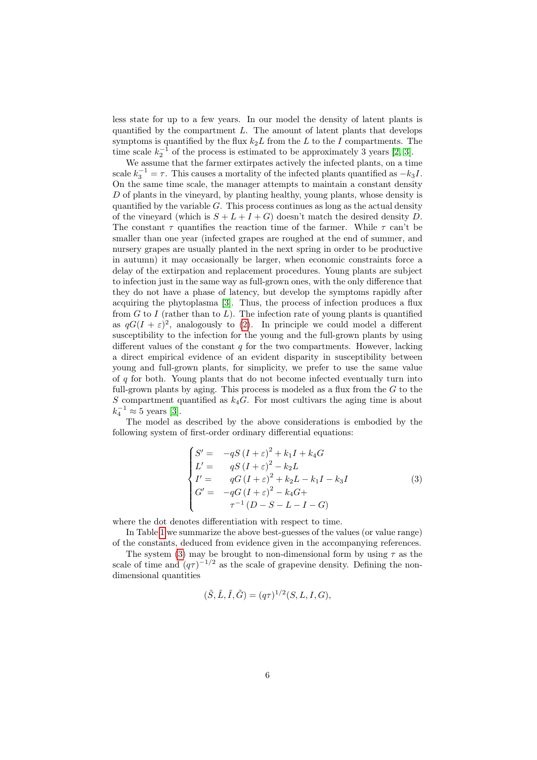less state for up to a few years. In our model the density of latent plants is quantified by the compartment  $L$ . The amount of latent plants that develops symptoms is quantified by the flux  $k_2L$  from the L to the I compartments. The time scale  $k_2^{-1}$  of the process is estimated to be approximately 3 years [\[2,](#page-20-2) [3\]](#page-20-1).

We assume that the farmer extirpates actively the infected plants, on a time scale  $k_3^{-1} = \tau$ . This causes a mortality of the infected plants quantified as  $-k_3I$ . On the same time scale, the manager attempts to maintain a constant density D of plants in the vineyard, by planting healthy, young plants, whose density is quantified by the variable  $G$ . This process continues as long as the actual density of the vineyard (which is  $S + L + I + G$ ) doesn't match the desired density D. The constant  $\tau$  quantifies the reaction time of the farmer. While  $\tau$  can't be smaller than one year (infected grapes are roughed at the end of summer, and nursery grapes are usually planted in the next spring in order to be productive in autumn) it may occasionally be larger, when economic constraints force a delay of the extirpation and replacement procedures. Young plants are subject to infection just in the same way as full-grown ones, with the only difference that they do not have a phase of latency, but develop the symptoms rapidly after acquiring the phytoplasma [\[3\]](#page-20-1). Thus, the process of infection produces a flux from  $G$  to I (rather than to  $L$ ). The infection rate of young plants is quantified as  $qG(I + \varepsilon)^2$ , analogously to [\(2\)](#page-3-0). In principle we could model a different susceptibility to the infection for the young and the full-grown plants by using different values of the constant  $q$  for the two compartments. However, lacking a direct empirical evidence of an evident disparity in susceptibility between young and full-grown plants, for simplicity, we prefer to use the same value of  $q$  for both. Young plants that do not become infected eventually turn into full-grown plants by aging. This process is modeled as a flux from the  $G$  to the S compartment quantified as  $k_4G$ . For most cultivars the aging time is about  $k_4^{-1} \approx 5$  years [\[3\]](#page-20-1).

The model as described by the above considerations is embodied by the following system of first-order ordinary differential equations:

<span id="page-5-0"></span>
$$
\begin{cases}\nS' = -qS(I+\varepsilon)^2 + k_1I + k_4G \\
L' = qS(I+\varepsilon)^2 - k_2L \\
I' = qG(I+\varepsilon)^2 + k_2L - k_1I - k_3I \\
G' = -qG(I+\varepsilon)^2 - k_4G + \\
\tau^{-1}(D-S-L-I-G)\n\end{cases} \tag{3}
$$

where the dot denotes differentiation with respect to time.

In Table [1](#page-4-0) we summarize the above best-guesses of the values (or value range) of the constants, deduced from evidence given in the accompanying references.

The system [\(3\)](#page-5-0) may be brought to non-dimensional form by using  $\tau$  as the scale of time and  $(q\tau)^{-1/2}$  as the scale of grapevine density. Defining the nondimensional quantities

$$
(\tilde{S}, \tilde{L}, \tilde{I}, \tilde{G}) = (q\tau)^{1/2}(S, L, I, G),
$$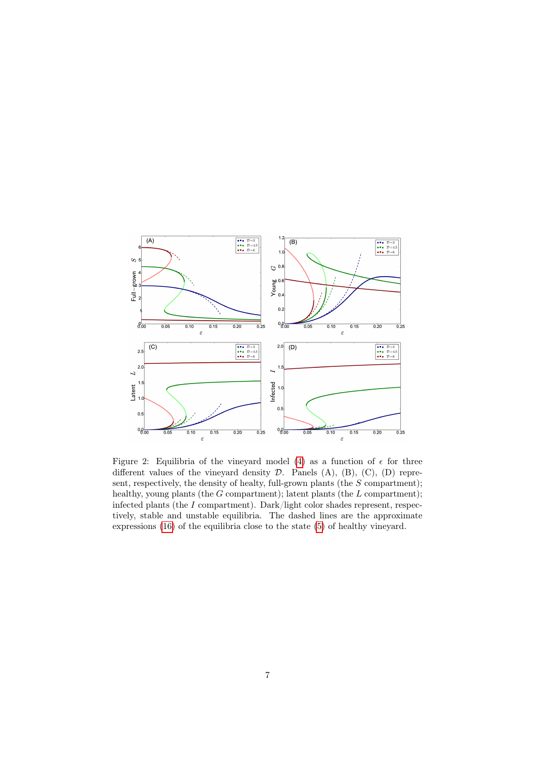

<span id="page-6-0"></span>Figure 2: Equilibria of the vineyard model [\(4\)](#page-7-0) as a function of  $\epsilon$  for three different values of the vineyard density  $D$ . Panels  $(A)$ ,  $(B)$ ,  $(C)$ ,  $(D)$  represent, respectively, the density of healty, full-grown plants (the  $S$  compartment); healthy, young plants (the  $G$  compartment); latent plants (the  $L$  compartment); infected plants (the I compartment). Dark/light color shades represent, respectively, stable and unstable equilibria. The dashed lines are the approximate expressions [\(16\)](#page-19-0) of the equilibria close to the state [\(5\)](#page-7-1) of healthy vineyard.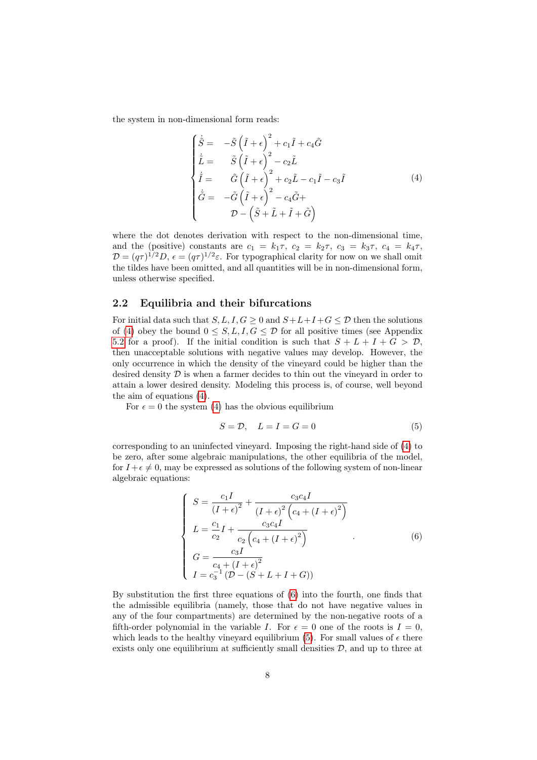the system in non-dimensional form reads:

<span id="page-7-0"></span>
$$
\begin{cases}\n\dot{\tilde{S}} = -\tilde{S} \left( \tilde{I} + \epsilon \right)^2 + c_1 \tilde{I} + c_4 \tilde{G} \n\dot{\tilde{L}} = \tilde{S} \left( \tilde{I} + \epsilon \right)^2 - c_2 \tilde{L} \n\dot{\tilde{I}} = \tilde{G} \left( \tilde{I} + \epsilon \right)^2 + c_2 \tilde{L} - c_1 \tilde{I} - c_3 \tilde{I} \n\dot{\tilde{G}} = -\tilde{G} \left( \tilde{I} + \epsilon \right)^2 - c_4 \tilde{G} + \n\mathcal{D} - \left( \tilde{S} + \tilde{L} + \tilde{I} + \tilde{G} \right)\n\end{cases}
$$
\n(4)

where the dot denotes derivation with respect to the non-dimensional time, and the (positive) constants are  $c_1 = k_1 \tau$ ,  $c_2 = k_2 \tau$ ,  $c_3 = k_3 \tau$ ,  $c_4 = k_4 \tau$ ,  $\mathcal{D} = (q\tau)^{1/2}D, \epsilon = (q\tau)^{1/2}\varepsilon.$  For typographical clarity for now on we shall omit the tildes have been omitted, and all quantities will be in non-dimensional form, unless otherwise specified.

## <span id="page-7-3"></span>2.2 Equilibria and their bifurcations

For initial data such that  $S, L, I, G \geq 0$  and  $S+L+I+G \leq \mathcal{D}$  then the solutions of [\(4\)](#page-7-0) obey the bound  $0 \leq S, L, I, G \leq \mathcal{D}$  for all positive times (see Appendix [5.2](#page-17-2) for a proof). If the initial condition is such that  $S + L + I + G > \mathcal{D}$ , then unacceptable solutions with negative values may develop. However, the only occurrence in which the density of the vineyard could be higher than the desired density  $\mathcal D$  is when a farmer decides to thin out the vineyard in order to attain a lower desired density. Modeling this process is, of course, well beyond the aim of equations [\(4\)](#page-7-0).

For  $\epsilon = 0$  the system [\(4\)](#page-7-0) has the obvious equilibrium

<span id="page-7-1"></span>
$$
S = \mathcal{D}, \quad L = I = G = 0 \tag{5}
$$

corresponding to an uninfected vineyard. Imposing the right-hand side of [\(4\)](#page-7-0) to be zero, after some algebraic manipulations, the other equilibria of the model, for  $I + \epsilon \neq 0$ , may be expressed as solutions of the following system of non-linear algebraic equations:

<span id="page-7-2"></span>
$$
\begin{cases}\nS = \frac{c_1 I}{(I + \epsilon)^2} + \frac{c_3 c_4 I}{(I + \epsilon)^2 (c_4 + (I + \epsilon)^2)} \\
L = \frac{c_1}{c_2} I + \frac{c_3 c_4 I}{c_2 (c_4 + (I + \epsilon)^2)} \\
G = \frac{c_3 I}{c_4 + (I + \epsilon)^2} \\
I = c_3^{-1} (D - (S + L + I + G))\n\end{cases} (6)
$$

By substitution the first three equations of [\(6\)](#page-7-2) into the fourth, one finds that the admissible equilibria (namely, those that do not have negative values in any of the four compartments) are determined by the non-negative roots of a fifth-order polynomial in the variable I. For  $\epsilon = 0$  one of the roots is  $I = 0$ , which leads to the healthy vineyard equilibrium [\(5\)](#page-7-1). For small values of  $\epsilon$  there exists only one equilibrium at sufficiently small densities  $\mathcal{D}$ , and up to three at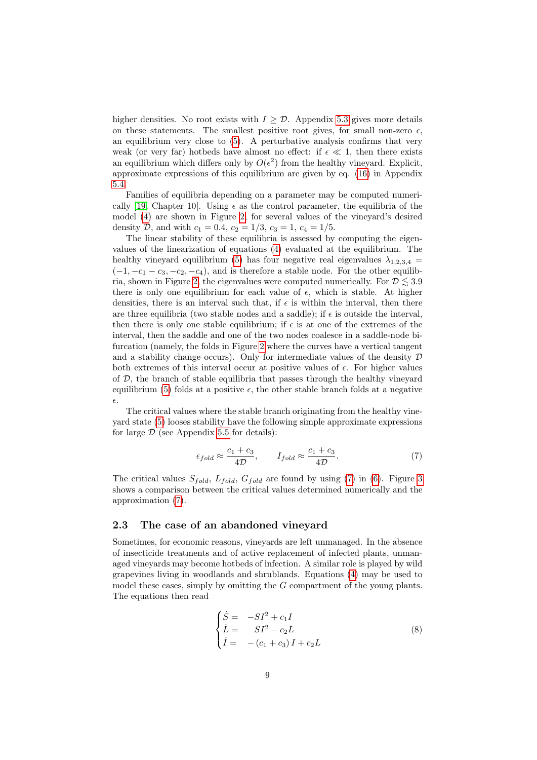higher densities. No root exists with  $I \geq \mathcal{D}$ . Appendix [5.3](#page-18-0) gives more details on these statements. The smallest positive root gives, for small non-zero  $\epsilon$ , an equilibrium very close to [\(5\)](#page-7-1). A perturbative analysis confirms that very weak (or very far) hotbeds have almost no effect: if  $\epsilon \ll 1$ , then there exists an equilibrium which differs only by  $O(\epsilon^2)$  from the healthy vineyard. Explicit, approximate expressions of this equilibrium are given by eq. [\(16\)](#page-19-0) in Appendix [5.4.](#page-19-1)

Families of equilibria depending on a parameter may be computed numeri-cally [\[19,](#page-21-11) Chapter 10]. Using  $\epsilon$  as the control parameter, the equilibria of the model [\(4\)](#page-7-0) are shown in Figure [2,](#page-6-0) for several values of the vineyard's desired density D, and with  $c_1 = 0.4$ ,  $c_2 = 1/3$ ,  $c_3 = 1$ ,  $c_4 = 1/5$ .

The linear stability of these equilibria is assessed by computing the eigenvalues of the linearization of equations [\(4\)](#page-7-0) evaluated at the equilibrium. The healthy vineyard equilibrium [\(5\)](#page-7-1) has four negative real eigenvalues  $\lambda_{1,2,3,4}$  $(-1, -c_1 - c_3, -c_2, -c_4)$ , and is therefore a stable node. For the other equilib-ria, shown in Figure [2,](#page-6-0) the eigenvalues were computed numerically. For  $\mathcal{D} \leq 3.9$ there is only one equilibrium for each value of  $\epsilon$ , which is stable. At higher densities, there is an interval such that, if  $\epsilon$  is within the interval, then there are three equilibria (two stable nodes and a saddle); if  $\epsilon$  is outside the interval, then there is only one stable equilibrium; if  $\epsilon$  is at one of the extremes of the interval, then the saddle and one of the two nodes coalesce in a saddle-node bifurcation (namely, the folds in Figure [2](#page-6-0) where the curves have a vertical tangent and a stability change occurs). Only for intermediate values of the density  $\mathcal D$ both extremes of this interval occur at positive values of  $\epsilon$ . For higher values of  $D$ , the branch of stable equilibria that passes through the healthy vineyard equilibrium [\(5\)](#page-7-1) folds at a positive  $\epsilon$ , the other stable branch folds at a negative  $\epsilon$ .

The critical values where the stable branch originating from the healthy vineyard state [\(5\)](#page-7-1) looses stability have the following simple approximate expressions for large  $D$  (see Appendix [5.5](#page-19-2) for details):

<span id="page-8-0"></span>
$$
\epsilon_{fold} \approx \frac{c_1 + c_3}{4D}, \qquad I_{fold} \approx \frac{c_1 + c_3}{4D}.
$$
\n(7)

The critical values  $S_{fold}$ ,  $L_{fold}$ ,  $G_{fold}$  are found by using [\(7\)](#page-8-0) in [\(6\)](#page-7-2). Figure [3](#page-9-0) shows a comparison between the critical values determined numerically and the approximation [\(7\)](#page-8-0).

#### 2.3 The case of an abandoned vineyard

Sometimes, for economic reasons, vineyards are left unmanaged. In the absence of insecticide treatments and of active replacement of infected plants, unmanaged vineyards may become hotbeds of infection. A similar role is played by wild grapevines living in woodlands and shrublands. Equations [\(4\)](#page-7-0) may be used to model these cases, simply by omitting the  $G$  compartment of the young plants. The equations then read

<span id="page-8-1"></span>
$$
\begin{cases}\n\dot{S} = -SI^2 + c_1 I \\
\dot{L} = SI^2 - c_2 L \\
\dot{I} = -(c_1 + c_3) I + c_2 L\n\end{cases}
$$
\n(8)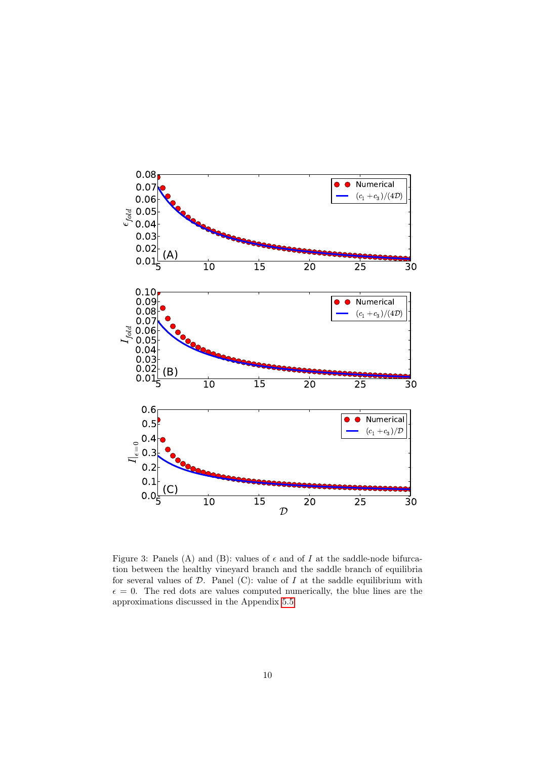

<span id="page-9-0"></span>Figure 3: Panels (A) and (B): values of  $\epsilon$  and of I at the saddle-node bifurcation between the healthy vineyard branch and the saddle branch of equilibria for several values of  $D$ . Panel (C): value of  $I$  at the saddle equilibrium with  $\epsilon = 0$ . The red dots are values computed numerically, the blue lines are the approximations discussed in the Appendix [5.5.](#page-19-2)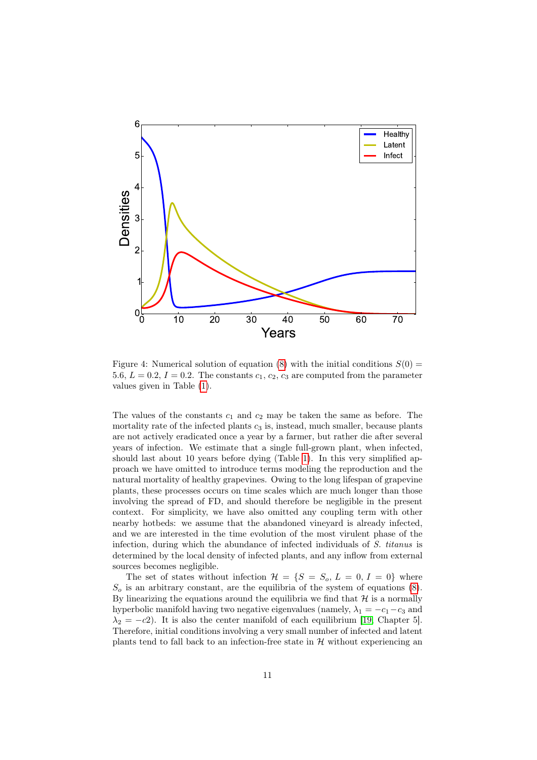

<span id="page-10-0"></span>Figure 4: Numerical solution of equation [\(8\)](#page-8-1) with the initial conditions  $S(0)$  = 5.6,  $L = 0.2$ ,  $I = 0.2$ . The constants  $c_1, c_2, c_3$  are computed from the parameter values given in Table [\(1\)](#page-4-0).

The values of the constants  $c_1$  and  $c_2$  may be taken the same as before. The mortality rate of the infected plants  $c_3$  is, instead, much smaller, because plants are not actively eradicated once a year by a farmer, but rather die after several years of infection. We estimate that a single full-grown plant, when infected, should last about 10 years before dying (Table [1\)](#page-4-0). In this very simplified approach we have omitted to introduce terms modeling the reproduction and the natural mortality of healthy grapevines. Owing to the long lifespan of grapevine plants, these processes occurs on time scales which are much longer than those involving the spread of FD, and should therefore be negligible in the present context. For simplicity, we have also omitted any coupling term with other nearby hotbeds: we assume that the abandoned vineyard is already infected, and we are interested in the time evolution of the most virulent phase of the infection, during which the abundance of infected individuals of S. titanus is determined by the local density of infected plants, and any inflow from external sources becomes negligible.

The set of states without infection  $\mathcal{H} = \{S = S_o, L = 0, I = 0\}$  where  $S<sub>o</sub>$  is an arbitrary constant, are the equilibria of the system of equations  $(8)$ . By linearizing the equations around the equilibria we find that  $\mathcal H$  is a normally hyperbolic manifold having two negative eigenvalues (namely,  $\lambda_1 = -c_1 - c_3$  and  $\lambda_2 = -c2$ ). It is also the center manifold of each equilibrium [\[19,](#page-21-11) Chapter 5]. Therefore, initial conditions involving a very small number of infected and latent plants tend to fall back to an infection-free state in  $H$  without experiencing an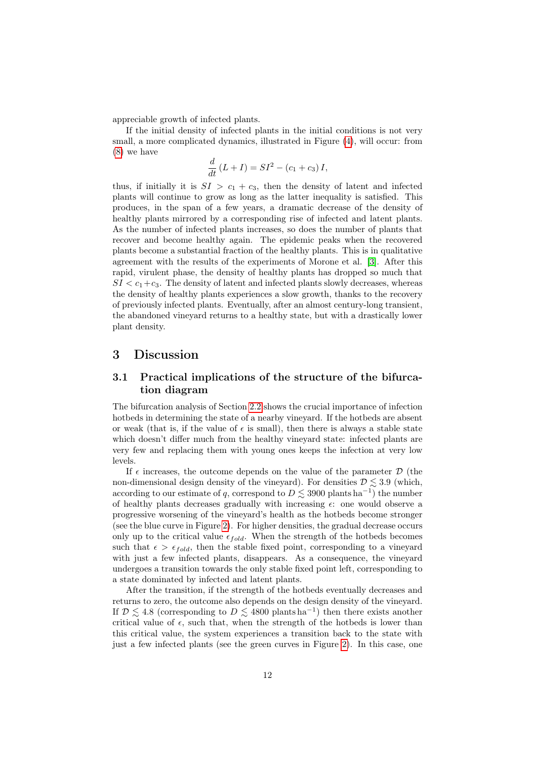appreciable growth of infected plants.

If the initial density of infected plants in the initial conditions is not very small, a more complicated dynamics, illustrated in Figure [\(4\)](#page-10-0), will occur: from [\(8\)](#page-8-1) we have

$$
\frac{d}{dt}\left(L+I\right) = SI^2 - \left(c_1 + c_3\right)I,
$$

thus, if initially it is  $SI > c_1 + c_3$ , then the density of latent and infected plants will continue to grow as long as the latter inequality is satisfied. This produces, in the span of a few years, a dramatic decrease of the density of healthy plants mirrored by a corresponding rise of infected and latent plants. As the number of infected plants increases, so does the number of plants that recover and become healthy again. The epidemic peaks when the recovered plants become a substantial fraction of the healthy plants. This is in qualitative agreement with the results of the experiments of Morone et al. [\[3\]](#page-20-1). After this rapid, virulent phase, the density of healthy plants has dropped so much that  $SI < c_1+c_3$ . The density of latent and infected plants slowly decreases, whereas the density of healthy plants experiences a slow growth, thanks to the recovery of previously infected plants. Eventually, after an almost century-long transient, the abandoned vineyard returns to a healthy state, but with a drastically lower plant density.

## <span id="page-11-0"></span>3 Discussion

## 3.1 Practical implications of the structure of the bifurcation diagram

The bifurcation analysis of Section [2.2](#page-7-3) shows the crucial importance of infection hotbeds in determining the state of a nearby vineyard. If the hotbeds are absent or weak (that is, if the value of  $\epsilon$  is small), then there is always a stable state which doesn't differ much from the healthy vineyard state: infected plants are very few and replacing them with young ones keeps the infection at very low levels.

If  $\epsilon$  increases, the outcome depends on the value of the parameter  $\mathcal D$  (the non-dimensional design density of the vineyard). For densities  $\mathcal{D} \lesssim 3.9$  (which, according to our estimate of q, correspond to  $D \lesssim 3900$  plants ha<sup>-1</sup>) the number of healthy plants decreases gradually with increasing  $\epsilon$ : one would observe a progressive worsening of the vineyard's health as the hotbeds become stronger (see the blue curve in Figure [2\)](#page-6-0). For higher densities, the gradual decrease occurs only up to the critical value  $\epsilon_{fold}$ . When the strength of the hotbeds becomes such that  $\epsilon > \epsilon_{fold}$ , then the stable fixed point, corresponding to a vineyard with just a few infected plants, disappears. As a consequence, the vineyard undergoes a transition towards the only stable fixed point left, corresponding to a state dominated by infected and latent plants.

After the transition, if the strength of the hotbeds eventually decreases and returns to zero, the outcome also depends on the design density of the vineyard. If  $\mathcal{D} \leq 4.8$  (corresponding to  $D \leq 4800$  plants ha<sup>-1</sup>) then there exists another critical value of  $\epsilon$ , such that, when the strength of the hotbeds is lower than this critical value, the system experiences a transition back to the state with just a few infected plants (see the green curves in Figure [2\)](#page-6-0). In this case, one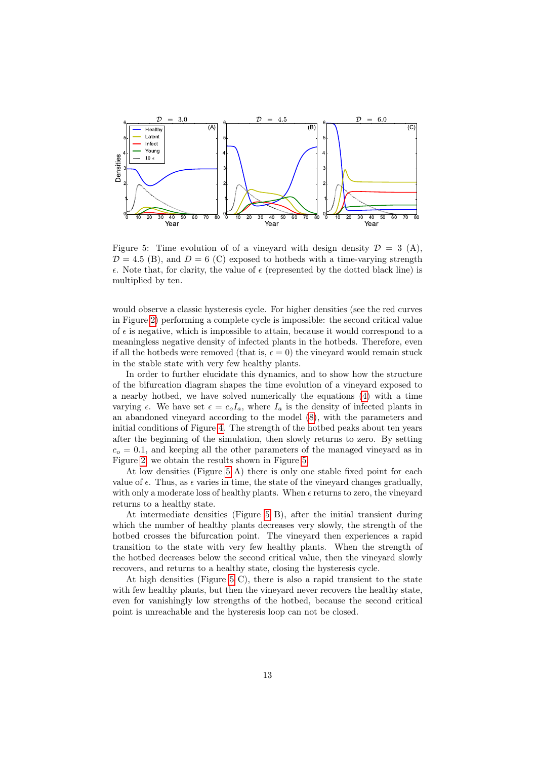

<span id="page-12-0"></span>Figure 5: Time evolution of of a vineyard with design density  $\mathcal{D} = 3$  (A),  $\mathcal{D} = 4.5$  (B), and  $\mathcal{D} = 6$  (C) exposed to hotbeds with a time-varying strength  $\epsilon$ . Note that, for clarity, the value of  $\epsilon$  (represented by the dotted black line) is multiplied by ten.

would observe a classic hysteresis cycle. For higher densities (see the red curves in Figure [2\)](#page-6-0) performing a complete cycle is impossible: the second critical value of  $\epsilon$  is negative, which is impossible to attain, because it would correspond to a meaningless negative density of infected plants in the hotbeds. Therefore, even if all the hotbeds were removed (that is,  $\epsilon = 0$ ) the vineyard would remain stuck in the stable state with very few healthy plants.

In order to further elucidate this dynamics, and to show how the structure of the bifurcation diagram shapes the time evolution of a vineyard exposed to a nearby hotbed, we have solved numerically the equations [\(4\)](#page-7-0) with a time varying  $\epsilon$ . We have set  $\epsilon = c_o I_a$ , where  $I_a$  is the density of infected plants in an abandoned vineyard according to the model [\(8\)](#page-8-1), with the parameters and initial conditions of Figure [4.](#page-10-0) The strength of the hotbed peaks about ten years after the beginning of the simulation, then slowly returns to zero. By setting  $c<sub>o</sub> = 0.1$ , and keeping all the other parameters of the managed vineyard as in Figure [2,](#page-6-0) we obtain the results shown in Figure [5.](#page-12-0)

At low densities (Figure [5](#page-12-0) A) there is only one stable fixed point for each value of  $\epsilon$ . Thus, as  $\epsilon$  varies in time, the state of the vineyard changes gradually, with only a moderate loss of healthy plants. When  $\epsilon$  returns to zero, the vineyard returns to a healthy state.

At intermediate densities (Figure [5](#page-12-0) B), after the initial transient during which the number of healthy plants decreases very slowly, the strength of the hotbed crosses the bifurcation point. The vineyard then experiences a rapid transition to the state with very few healthy plants. When the strength of the hotbed decreases below the second critical value, then the vineyard slowly recovers, and returns to a healthy state, closing the hysteresis cycle.

At high densities (Figure [5](#page-12-0) C), there is also a rapid transient to the state with few healthy plants, but then the vineyard never recovers the healthy state, even for vanishingly low strengths of the hotbed, because the second critical point is unreachable and the hysteresis loop can not be closed.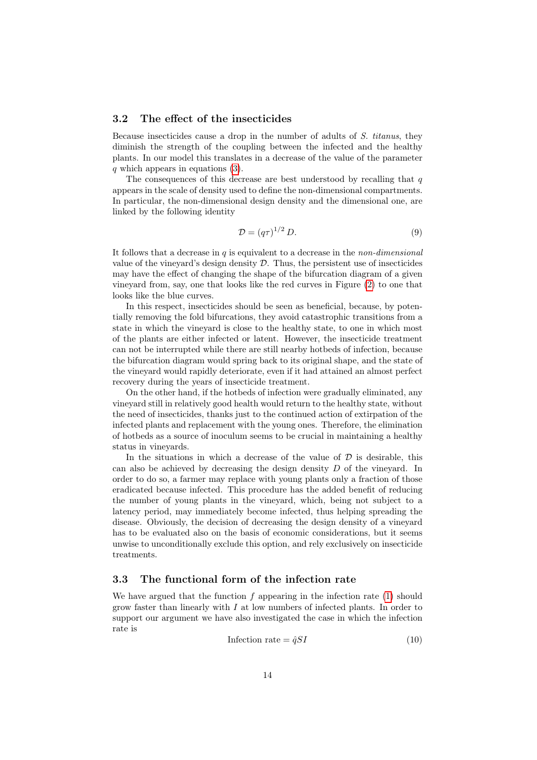#### <span id="page-13-0"></span>3.2 The effect of the insecticides

Because insecticides cause a drop in the number of adults of S. titanus, they diminish the strength of the coupling between the infected and the healthy plants. In our model this translates in a decrease of the value of the parameter q which appears in equations  $(3)$ .

The consequences of this decrease are best understood by recalling that  $q$ appears in the scale of density used to define the non-dimensional compartments. In particular, the non-dimensional design density and the dimensional one, are linked by the following identity

$$
\mathcal{D} = (q\tau)^{1/2} D. \tag{9}
$$

It follows that a decrease in  $q$  is equivalent to a decrease in the *non-dimensional* value of the vineyard's design density  $\mathcal{D}$ . Thus, the persistent use of insecticides may have the effect of changing the shape of the bifurcation diagram of a given vineyard from, say, one that looks like the red curves in Figure [\(2\)](#page-6-0) to one that looks like the blue curves.

In this respect, insecticides should be seen as beneficial, because, by potentially removing the fold bifurcations, they avoid catastrophic transitions from a state in which the vineyard is close to the healthy state, to one in which most of the plants are either infected or latent. However, the insecticide treatment can not be interrupted while there are still nearby hotbeds of infection, because the bifurcation diagram would spring back to its original shape, and the state of the vineyard would rapidly deteriorate, even if it had attained an almost perfect recovery during the years of insecticide treatment.

On the other hand, if the hotbeds of infection were gradually eliminated, any vineyard still in relatively good health would return to the healthy state, without the need of insecticides, thanks just to the continued action of extirpation of the infected plants and replacement with the young ones. Therefore, the elimination of hotbeds as a source of inoculum seems to be crucial in maintaining a healthy status in vineyards.

In the situations in which a decrease of the value of  $D$  is desirable, this can also be achieved by decreasing the design density D of the vineyard. In order to do so, a farmer may replace with young plants only a fraction of those eradicated because infected. This procedure has the added benefit of reducing the number of young plants in the vineyard, which, being not subject to a latency period, may immediately become infected, thus helping spreading the disease. Obviously, the decision of decreasing the design density of a vineyard has to be evaluated also on the basis of economic considerations, but it seems unwise to unconditionally exclude this option, and rely exclusively on insecticide treatments.

## 3.3 The functional form of the infection rate

We have argued that the function  $f$  appearing in the infection rate  $(1)$  should grow faster than linearly with  $I$  at low numbers of infected plants. In order to support our argument we have also investigated the case in which the infection rate is

<span id="page-13-1"></span>
$$
Inflection rate = \hat{q}SI
$$
\n<sup>(10)</sup>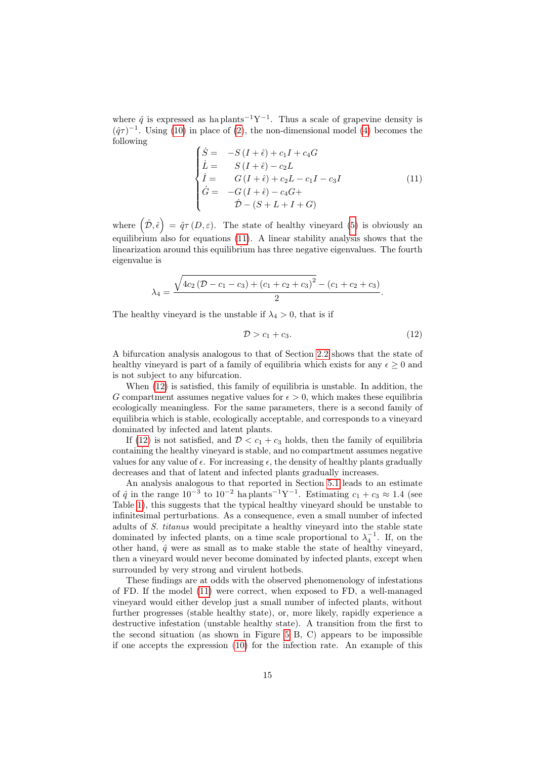where  $\hat{q}$  is expressed as ha plants<sup>-1</sup>Y<sup>-1</sup>. Thus a scale of grapevine density is  $(\hat{q}\tau)^{-1}$ . Using [\(10\)](#page-13-1) in place of [\(2\)](#page-3-0), the non-dimensional model [\(4\)](#page-7-0) becomes the following

<span id="page-14-0"></span>
$$
\begin{cases}\n\dot{S} = -S(I + \hat{\epsilon}) + c_1 I + c_4 G \\
\dot{L} = S(I + \hat{\epsilon}) - c_2 L \\
\dot{I} = G(I + \hat{\epsilon}) + c_2 L - c_1 I - c_3 I \\
\dot{G} = -G(I + \hat{\epsilon}) - c_4 G + \\
\hat{D} - (S + L + I + G)\n\end{cases}
$$
\n(11)

where  $(\hat{\mathcal{D}}, \hat{\epsilon}) = \hat{q} \tau(D, \varepsilon)$ . The state of healthy vineyard [\(5\)](#page-7-1) is obviously an equilibrium also for equations [\(11\)](#page-14-0). A linear stability analysis shows that the linearization around this equilibrium has three negative eigenvalues. The fourth eigenvalue is

$$
\lambda_4 = \frac{\sqrt{4c_2(\mathcal{D} - c_1 - c_3) + (c_1 + c_2 + c_3)^2} - (c_1 + c_2 + c_3)}{2}.
$$

The healthy vineyard is the unstable if  $\lambda_4 > 0$ , that is if

<span id="page-14-1"></span>
$$
\mathcal{D} > c_1 + c_3. \tag{12}
$$

A bifurcation analysis analogous to that of Section [2.2](#page-7-3) shows that the state of healthy vineyard is part of a family of equilibria which exists for any  $\epsilon \geq 0$  and is not subject to any bifurcation.

When [\(12\)](#page-14-1) is satisfied, this family of equilibria is unstable. In addition, the G compartment assumes negative values for  $\epsilon > 0$ , which makes these equilibria ecologically meaningless. For the same parameters, there is a second family of equilibria which is stable, ecologically acceptable, and corresponds to a vineyard dominated by infected and latent plants.

If [\(12\)](#page-14-1) is not satisfied, and  $\mathcal{D} < c_1 + c_3$  holds, then the family of equilibria containing the healthy vineyard is stable, and no compartment assumes negative values for any value of  $\epsilon$ . For increasing  $\epsilon$ , the density of healthy plants gradually decreases and that of latent and infected plants gradually increases.

An analysis analogous to that reported in Section [5.1](#page-17-1) leads to an estimate of  $\hat{q}$  in the range  $10^{-3}$  to  $10^{-2}$  ha plants<sup>-1</sup>Y<sup>-1</sup>. Estimating  $c_1 + c_3 \approx 1.4$  (see Table [1\)](#page-4-0), this suggests that the typical healthy vineyard should be unstable to infinitesimal perturbations. As a consequence, even a small number of infected adults of S. titanus would precipitate a healthy vineyard into the stable state dominated by infected plants, on a time scale proportional to  $\lambda_4^{-1}$ . If, on the other hand,  $\hat{q}$  were as small as to make stable the state of healthy vineyard, then a vineyard would never become dominated by infected plants, except when surrounded by very strong and virulent hotbeds.

These findings are at odds with the observed phenomenology of infestations of FD. If the model [\(11\)](#page-14-0) were correct, when exposed to FD, a well-managed vineyard would either develop just a small number of infected plants, without further progresses (stable healthy state), or, more likely, rapidly experience a destructive infestation (unstable healthy state). A transition from the first to the second situation (as shown in Figure [5](#page-12-0) B, C) appears to be impossible if one accepts the expression [\(10\)](#page-13-1) for the infection rate. An example of this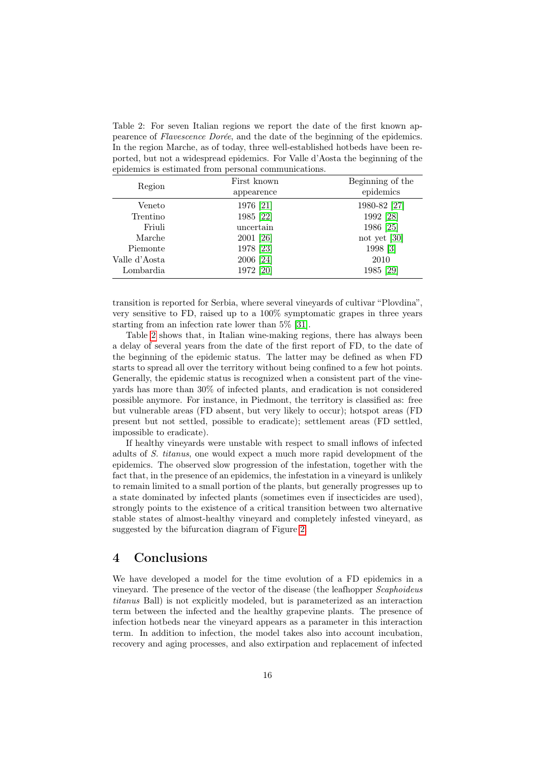<span id="page-15-1"></span>Table 2: For seven Italian regions we report the date of the first known appearence of Flavescence Dorée, and the date of the beginning of the epidemics. In the region Marche, as of today, three well-established hotbeds have been reported, but not a widespread epidemics. For Valle d'Aosta the beginning of the epidemics is estimated from personal communications.

| Region        | First known<br>appearence | Beginning of the<br>epidemics |
|---------------|---------------------------|-------------------------------|
| Veneto        | 1976 [21]                 | 1980-82 [27]                  |
|               |                           |                               |
| Trentino      | 1985 [22]                 | 1992 [28]                     |
| Friuli        | uncertain                 | 1986 [25]                     |
| Marche        | 2001 [26]                 | not yet [30]                  |
| Piemonte      | 1978 [23]                 | 1998 [3]                      |
| Valle d'Aosta | 2006 [24]                 | 2010                          |
| Lombardia     | 1972 [20]                 | 1985 [29]                     |

transition is reported for Serbia, where several vineyards of cultivar "Plovdina", very sensitive to FD, raised up to a 100% symptomatic grapes in three years starting from an infection rate lower than 5% [\[31\]](#page-22-10).

Table [2](#page-15-1) shows that, in Italian wine-making regions, there has always been a delay of several years from the date of the first report of FD, to the date of the beginning of the epidemic status. The latter may be defined as when FD starts to spread all over the territory without being confined to a few hot points. Generally, the epidemic status is recognized when a consistent part of the vineyards has more than 30% of infected plants, and eradication is not considered possible anymore. For instance, in Piedmont, the territory is classified as: free but vulnerable areas (FD absent, but very likely to occur); hotspot areas (FD present but not settled, possible to eradicate); settlement areas (FD settled, impossible to eradicate).

If healthy vineyards were unstable with respect to small inflows of infected adults of S. titanus, one would expect a much more rapid development of the epidemics. The observed slow progression of the infestation, together with the fact that, in the presence of an epidemics, the infestation in a vineyard is unlikely to remain limited to a small portion of the plants, but generally progresses up to a state dominated by infected plants (sometimes even if insecticides are used), strongly points to the existence of a critical transition between two alternative stable states of almost-healthy vineyard and completely infested vineyard, as suggested by the bifurcation diagram of Figure [2.](#page-6-0)

## <span id="page-15-0"></span>4 Conclusions

We have developed a model for the time evolution of a FD epidemics in a vineyard. The presence of the vector of the disease (the leafhopper Scaphoideus titanus Ball) is not explicitly modeled, but is parameterized as an interaction term between the infected and the healthy grapevine plants. The presence of infection hotbeds near the vineyard appears as a parameter in this interaction term. In addition to infection, the model takes also into account incubation, recovery and aging processes, and also extirpation and replacement of infected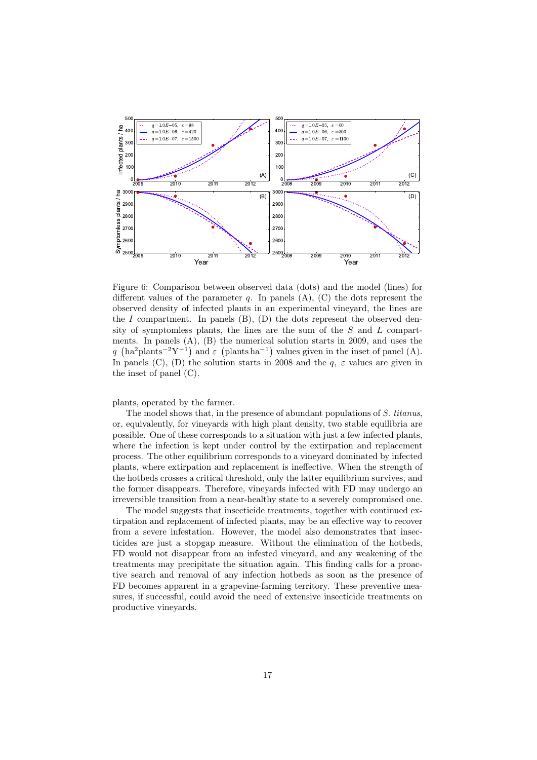

<span id="page-16-0"></span>Figure 6: Comparison between observed data (dots) and the model (lines) for different values of the parameter  $q$ . In panels  $(A)$ ,  $(C)$  the dots represent the observed density of infected plants in an experimental vineyard, the lines are the I compartment. In panels  $(B)$ ,  $(D)$  the dots represent the observed density of symptomless plants, the lines are the sum of the  $S$  and  $L$  compartments. In panels (A), (B) the numerical solution starts in 2009, and uses the q (ha<sup>2</sup>plants<sup>-2</sup>Y<sup>-1</sup>) and  $\varepsilon$  (plants ha<sup>-1</sup>) values given in the inset of panel (A). In panels (C), (D) the solution starts in 2008 and the  $q, \varepsilon$  values are given in the inset of panel (C).

plants, operated by the farmer.

The model shows that, in the presence of abundant populations of S. titanus, or, equivalently, for vineyards with high plant density, two stable equilibria are possible. One of these corresponds to a situation with just a few infected plants, where the infection is kept under control by the extirpation and replacement process. The other equilibrium corresponds to a vineyard dominated by infected plants, where extirpation and replacement is ineffective. When the strength of the hotbeds crosses a critical threshold, only the latter equilibrium survives, and the former disappears. Therefore, vineyards infected with FD may undergo an irreversible transition from a near-healthy state to a severely compromised one.

The model suggests that insecticide treatments, together with continued extirpation and replacement of infected plants, may be an effective way to recover from a severe infestation. However, the model also demonstrates that insecticides are just a stopgap measure. Without the elimination of the hotbeds, FD would not disappear from an infested vineyard, and any weakening of the treatments may precipitate the situation again. This finding calls for a proactive search and removal of any infection hotbeds as soon as the presence of FD becomes apparent in a grapevine-farming territory. These preventive measures, if successful, could avoid the need of extensive insecticide treatments on productive vineyards.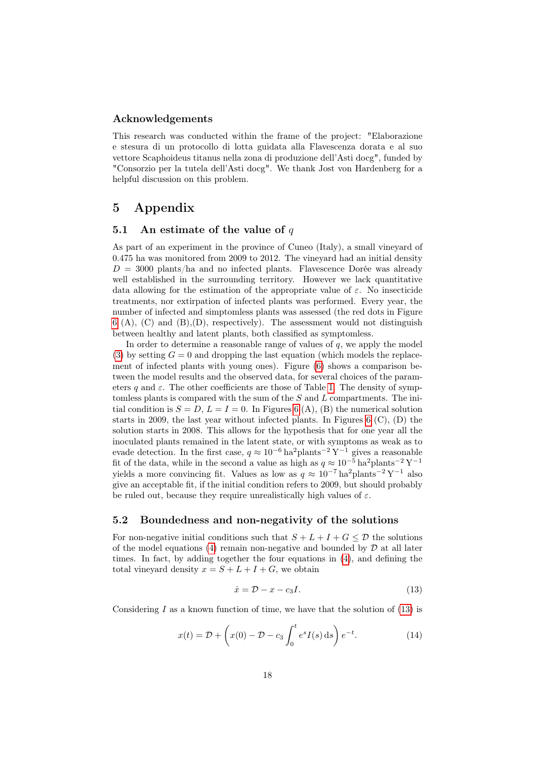#### Acknowledgements

This research was conducted within the frame of the project: "Elaborazione e stesura di un protocollo di lotta guidata alla Flavescenza dorata e al suo vettore Scaphoideus titanus nella zona di produzione dell'Asti docg", funded by "Consorzio per la tutela dell'Asti docg". We thank Jost von Hardenberg for a helpful discussion on this problem.

# <span id="page-17-0"></span>5 Appendix

#### <span id="page-17-1"></span>5.1 An estimate of the value of  $q$

As part of an experiment in the province of Cuneo (Italy), a small vineyard of 0.475 ha was monitored from 2009 to 2012. The vineyard had an initial density  $D = 3000$  plants/ha and no infected plants. Flavescence Dorée was already well established in the surrounding territory. However we lack quantitative data allowing for the estimation of the appropriate value of  $\varepsilon$ . No insecticide treatments, nor extirpation of infected plants was performed. Every year, the number of infected and simptomless plants was assessed (the red dots in Figure  $6$  (A), (C) and (B), (D), respectively). The assessment would not distinguish between healthy and latent plants, both classified as symptomless.

In order to determine a reasonable range of values of  $q$ , we apply the model [\(3\)](#page-5-0) by setting  $G = 0$  and dropping the last equation (which models the replacement of infected plants with young ones). Figure [\(6\)](#page-16-0) shows a comparison between the model results and the observed data, for several choices of the parameters q and  $\varepsilon$ . The other coefficients are those of Table [1.](#page-4-0) The density of symptomless plants is compared with the sum of the  $S$  and  $L$  compartments. The initial condition is  $S = D$ ,  $L = I = 0$ . In Figures [6](#page-16-0) (A), (B) the numerical solution starts in 2009, the last year without infected plants. In Figures [6](#page-16-0) (C), (D) the solution starts in 2008. This allows for the hypothesis that for one year all the inoculated plants remained in the latent state, or with symptoms as weak as to evade detection. In the first case,  $q \approx 10^{-6}$  ha<sup>2</sup>plants<sup>-2</sup> Y<sup>-1</sup> gives a reasonable fit of the data, while in the second a value as high as  $q \approx 10^{-5}$  ha<sup>2</sup>plants<sup>-2</sup> Y<sup>-1</sup> yields a more convincing fit. Values as low as  $q \approx 10^{-7}$  ha<sup>2</sup>plants<sup>-2</sup> Y<sup>-1</sup> also give an acceptable fit, if the initial condition refers to 2009, but should probably be ruled out, because they require unrealistically high values of  $\varepsilon$ .

#### <span id="page-17-2"></span>5.2 Boundedness and non-negativity of the solutions

For non-negative initial conditions such that  $S + L + I + G \leq \mathcal{D}$  the solutions of the model equations [\(4\)](#page-7-0) remain non-negative and bounded by  $D$  at all later times. In fact, by adding together the four equations in [\(4\)](#page-7-0), and defining the total vineyard density  $x = S + L + I + G$ , we obtain

<span id="page-17-3"></span>
$$
\dot{x} = \mathcal{D} - x - c_3 I. \tag{13}
$$

Considering I as a known function of time, we have that the solution of  $(13)$  is

$$
x(t) = \mathcal{D} + \left(x(0) - \mathcal{D} - c_3 \int_0^t e^s I(s) \, ds\right) e^{-t}.\tag{14}
$$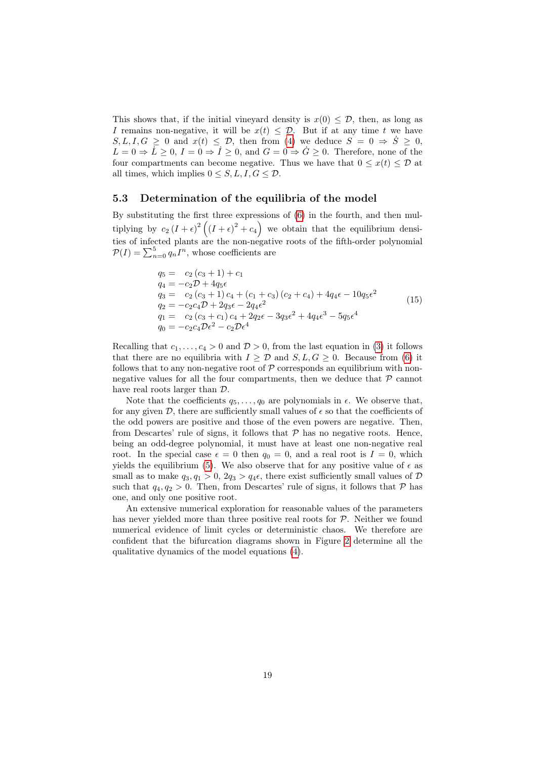This shows that, if the initial vineyard density is  $x(0) \leq \mathcal{D}$ , then, as long as I remains non-negative, it will be  $x(t) \leq \mathcal{D}$ . But if at any time t we have  $S, L, I, G \geq 0$  and  $x(t) \leq \mathcal{D}$ , then from [\(4\)](#page-7-0) we deduce  $S = 0 \Rightarrow \dot{S} \geq 0$ ,  $L = 0 \Rightarrow L \geq 0, I = 0 \Rightarrow \dot{I} \geq 0$ , and  $G = 0 \Rightarrow \dot{G} \geq 0$ . Therefore, none of the four compartments can become negative. Thus we have that  $0 \leq x(t) \leq \mathcal{D}$  at all times, which implies  $0 \leq S, L, I, G \leq \mathcal{D}$ .

#### <span id="page-18-0"></span>5.3 Determination of the equilibria of the model

By substituting the first three expressions of [\(6\)](#page-7-2) in the fourth, and then multiplying by  $c_2(I+\epsilon)^2((I+\epsilon)^2+c_4)$  we obtain that the equilibrium densities of infected plants are the non-negative roots of the fifth-order polynomial  $P(I) = \sum_{n=0}^{5} q_n I^n$ , whose coefficients are

<span id="page-18-1"></span>
$$
q_5 = c_2 (c_3 + 1) + c_1
$$
  
\n
$$
q_4 = -c_2 \mathcal{D} + 4q_5 \epsilon
$$
  
\n
$$
q_3 = c_2 (c_3 + 1) c_4 + (c_1 + c_3) (c_2 + c_4) + 4q_4 \epsilon - 10q_5 \epsilon^2
$$
  
\n
$$
q_2 = -c_2 c_4 \mathcal{D} + 2q_3 \epsilon - 2q_4 \epsilon^2
$$
  
\n
$$
q_1 = c_2 (c_3 + c_1) c_4 + 2q_2 \epsilon - 3q_3 \epsilon^2 + 4q_4 \epsilon^3 - 5q_5 \epsilon^4
$$
  
\n
$$
q_0 = -c_2 c_4 \mathcal{D} \epsilon^2 - c_2 \mathcal{D} \epsilon^4
$$
\n(15)

Recalling that  $c_1, \ldots, c_4 > 0$  and  $\mathcal{D} > 0$ , from the last equation in [\(3\)](#page-5-0) it follows that there are no equilibria with  $I \geq \mathcal{D}$  and  $S, L, G \geq 0$ . Because from [\(6\)](#page-7-2) it follows that to any non-negative root of  $P$  corresponds an equilibrium with nonnegative values for all the four compartments, then we deduce that  $\mathcal P$  cannot have real roots larger than D.

Note that the coefficients  $q_5, \ldots, q_0$  are polynomials in  $\epsilon$ . We observe that, for any given  $\mathcal{D}$ , there are sufficiently small values of  $\epsilon$  so that the coefficients of the odd powers are positive and those of the even powers are negative. Then, from Descartes' rule of signs, it follows that  $P$  has no negative roots. Hence, being an odd-degree polynomial, it must have at least one non-negative real root. In the special case  $\epsilon = 0$  then  $q_0 = 0$ , and a real root is  $I = 0$ , which yields the equilibrium [\(5\)](#page-7-1). We also observe that for any positive value of  $\epsilon$  as small as to make  $q_3, q_1 > 0$ ,  $2q_3 > q_4\epsilon$ , there exist sufficiently small values of  $D$ such that  $q_4, q_2 > 0$ . Then, from Descartes' rule of signs, it follows that  $P$  has one, and only one positive root.

An extensive numerical exploration for reasonable values of the parameters has never yielded more than three positive real roots for  $P$ . Neither we found numerical evidence of limit cycles or deterministic chaos. We therefore are confident that the bifurcation diagrams shown in Figure [2](#page-6-0) determine all the qualitative dynamics of the model equations [\(4\)](#page-7-0).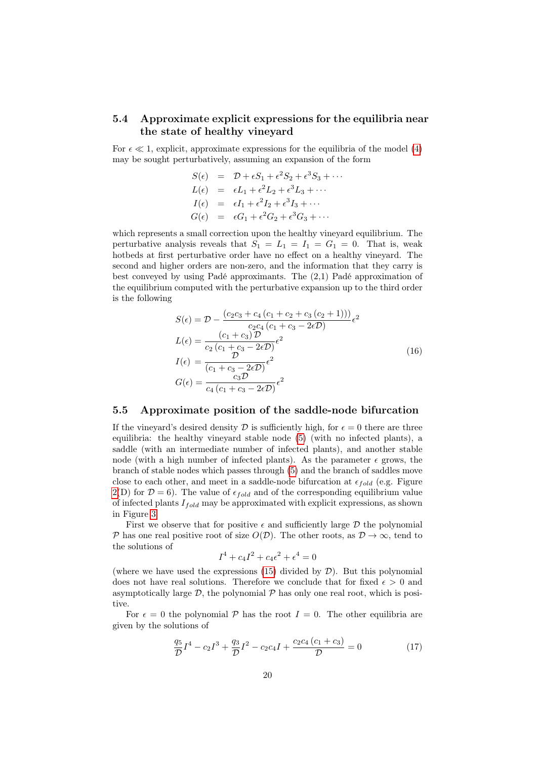## <span id="page-19-1"></span>5.4 Approximate explicit expressions for the equilibria near the state of healthy vineyard

For  $\epsilon \ll 1$ , explicit, approximate expressions for the equilibria of the model [\(4\)](#page-7-0) may be sought perturbatively, assuming an expansion of the form

$$
S(\epsilon) = \mathcal{D} + \epsilon S_1 + \epsilon^2 S_2 + \epsilon^3 S_3 + \cdots
$$
  
\n
$$
L(\epsilon) = \epsilon L_1 + \epsilon^2 L_2 + \epsilon^3 L_3 + \cdots
$$
  
\n
$$
I(\epsilon) = \epsilon I_1 + \epsilon^2 I_2 + \epsilon^3 I_3 + \cdots
$$
  
\n
$$
G(\epsilon) = \epsilon G_1 + \epsilon^2 G_2 + \epsilon^3 G_3 + \cdots
$$

which represents a small correction upon the healthy vineyard equilibrium. The perturbative analysis reveals that  $S_1 = L_1 = I_1 = G_1 = 0$ . That is, weak hotbeds at first perturbative order have no effect on a healthy vineyard. The second and higher orders are non-zero, and the information that they carry is best conveyed by using Padé approximants. The (2,1) Padé approximation of the equilibrium computed with the perturbative expansion up to the third order is the following

<span id="page-19-0"></span>
$$
S(\epsilon) = \mathcal{D} - \frac{(c_2c_3 + c_4(c_1 + c_2 + c_3(c_2 + 1)))}{c_2c_4(c_1 + c_3 - 2\epsilon \mathcal{D})}\epsilon^2
$$
  
\n
$$
L(\epsilon) = \frac{(c_1 + c_3)\mathcal{D}}{c_2(c_1 + c_3 - 2\epsilon \mathcal{D})}\epsilon^2
$$
  
\n
$$
I(\epsilon) = \frac{\mathcal{D}}{(c_1 + c_3 - 2\epsilon \mathcal{D})}\epsilon^2
$$
  
\n
$$
G(\epsilon) = \frac{c_3\mathcal{D}}{c_4(c_1 + c_3 - 2\epsilon \mathcal{D})}\epsilon^2
$$
\n(16)

#### <span id="page-19-2"></span>5.5 Approximate position of the saddle-node bifurcation

If the vineyard's desired density D is sufficiently high, for  $\epsilon = 0$  there are three equilibria: the healthy vineyard stable node [\(5\)](#page-7-1) (with no infected plants), a saddle (with an intermediate number of infected plants), and another stable node (with a high number of infected plants). As the parameter  $\epsilon$  grows, the branch of stable nodes which passes through [\(5\)](#page-7-1) and the branch of saddles move close to each other, and meet in a saddle-node bifurcation at  $\epsilon_{fold}$  (e.g. Figure  $2(D)$  $2(D)$  for  $\mathcal{D} = 6$ ). The value of  $\epsilon_{fold}$  and of the corresponding equilibrium value of infected plants  $I_{fold}$  may be approximated with explicit expressions, as shown in Figure [3.](#page-9-0)

First we observe that for positive  $\epsilon$  and sufficiently large  $\mathcal D$  the polynomial P has one real positive root of size  $O(D)$ . The other roots, as  $D \to \infty$ , tend to the solutions of

$$
I^4 + c_4 I^2 + c_4 \epsilon^2 + \epsilon^4 = 0
$$

(where we have used the expressions  $(15)$  divided by  $D$ ). But this polynomial does not have real solutions. Therefore we conclude that for fixed  $\epsilon > 0$  and asymptotically large  $D$ , the polynomial  $P$  has only one real root, which is positive.

For  $\epsilon = 0$  the polynomial P has the root  $I = 0$ . The other equilibria are given by the solutions of

<span id="page-19-3"></span>
$$
\frac{q_5}{D}I^4 - c_2I^3 + \frac{q_3}{D}I^2 - c_2c_4I + \frac{c_2c_4(c_1 + c_3)}{D} = 0
$$
\n(17)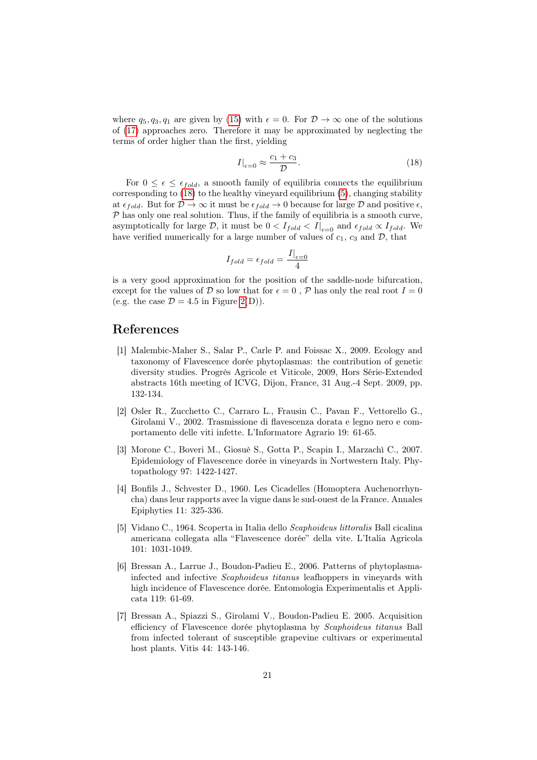where  $q_5, q_3, q_1$  are given by [\(15\)](#page-18-1) with  $\epsilon = 0$ . For  $\mathcal{D} \to \infty$  one of the solutions of [\(17\)](#page-19-3) approaches zero. Therefore it may be approximated by neglecting the terms of order higher than the first, yielding

<span id="page-20-7"></span>
$$
I|_{\epsilon=0} \approx \frac{c_1 + c_3}{\mathcal{D}}.\tag{18}
$$

For  $0 \leq \epsilon \leq \epsilon_{fold}$ , a smooth family of equilibria connects the equilibrium corresponding to  $(18)$  to the healthy vineyard equilibrium  $(5)$ , changing stability at  $\epsilon_{fold}$ . But for  $\mathcal{D} \to \infty$  it must be  $\epsilon_{fold} \to 0$  because for large  $\mathcal{D}$  and positive  $\epsilon$ ,  $P$  has only one real solution. Thus, if the family of equilibria is a smooth curve, asymptotically for large D, it must be  $0 < I_{fold} < I|_{\epsilon=0}$  and  $\epsilon_{fold} \propto I_{fold}$ . We have verified numerically for a large number of values of  $c_1$ ,  $c_3$  and  $\mathcal{D}$ , that

$$
I_{fold} = \epsilon_{fold} = \frac{I|_{\epsilon=0}}{4}
$$

is a very good approximation for the position of the saddle-node bifurcation, except for the values of D so low that for  $\epsilon = 0$ , P has only the real root  $I = 0$ (e.g. the case  $\mathcal{D} = 4.5$  in Figure [2\(](#page-6-0)D)).

## References

- <span id="page-20-0"></span>[1] Malembic-Maher S., Salar P., Carle P. and Foissac X., 2009. Ecology and taxonomy of Flavescence dorée phytoplasmas: the contribution of genetic diversity studies. Progrès Agricole et Viticole, 2009, Hors Série-Extended abstracts 16th meeting of ICVG, Dijon, France, 31 Aug.-4 Sept. 2009, pp. 132-134.
- <span id="page-20-2"></span>[2] Osler R., Zucchetto C., Carraro L., Frausin C., Pavan F., Vettorello G., Girolami V., 2002. Trasmissione di flavescenza dorata e legno nero e comportamento delle viti infette. L'Informatore Agrario 19: 61-65.
- <span id="page-20-1"></span>[3] Morone C., Boveri M., Giosuè S., Gotta P., Scapin I., Marzachì C., 2007. Epidemiology of Flavescence dorée in vineyards in Nortwestern Italy. Phytopathology 97: 1422-1427.
- <span id="page-20-3"></span>[4] Bonfils J., Schvester D., 1960. Les Cicadelles (Homoptera Auchenorrhyncha) dans leur rapports avec la vigne dans le sud-ouest de la France. Annales Epiphyties 11: 325-336.
- <span id="page-20-4"></span>[5] Vidano C., 1964. Scoperta in Italia dello Scaphoideus littoralis Ball cicalina americana collegata alla "Flavescence dorée" della vite. L'Italia Agricola 101: 1031-1049.
- <span id="page-20-5"></span>[6] Bressan A., Larrue J., Boudon-Padieu E., 2006. Patterns of phytoplasmainfected and infective Scaphoideus titanus leafhoppers in vineyards with high incidence of Flavescence dorée. Entomologia Experimentalis et Applicata 119: 61-69.
- <span id="page-20-6"></span>[7] Bressan A., Spiazzi S., Girolami V., Boudon-Padieu E. 2005. Acquisition efficiency of Flavescence dorée phytoplasma by Scaphoideus titanus Ball from infected tolerant of susceptible grapevine cultivars or experimental host plants. Vitis 44: 143-146.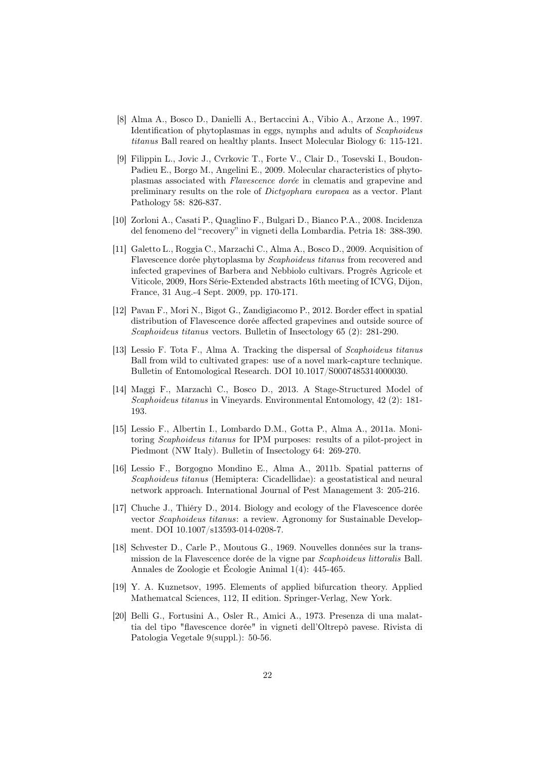- <span id="page-21-1"></span>[8] Alma A., Bosco D., Danielli A., Bertaccini A., Vibio A., Arzone A., 1997. Identification of phytoplasmas in eggs, nymphs and adults of Scaphoideus titanus Ball reared on healthy plants. Insect Molecular Biology 6: 115-121.
- <span id="page-21-2"></span>[9] Filippin L., Jovic J., Cvrkovic T., Forte V., Clair D., Tosevski I., Boudon-Padieu E., Borgo M., Angelini E., 2009. Molecular characteristics of phytoplasmas associated with Flavescence dorée in clematis and grapevine and preliminary results on the role of Dictyophara europaea as a vector. Plant Pathology 58: 826-837.
- <span id="page-21-3"></span>[10] Zorloni A., Casati P., Quaglino F., Bulgari D., Bianco P.A., 2008. Incidenza del fenomeno del "recovery" in vigneti della Lombardia. Petria 18: 388-390.
- <span id="page-21-4"></span>[11] Galetto L., Roggia C., Marzachi C., Alma A., Bosco D., 2009. Acquisition of Flavescence dorée phytoplasma by Scaphoideus titanus from recovered and infected grapevines of Barbera and Nebbiolo cultivars. Progrès Agricole et Viticole, 2009, Hors Série-Extended abstracts 16th meeting of ICVG, Dijon, France, 31 Aug.-4 Sept. 2009, pp. 170-171.
- <span id="page-21-5"></span>[12] Pavan F., Mori N., Bigot G., Zandigiacomo P., 2012. Border effect in spatial distribution of Flavescence dorée affected grapevines and outside source of Scaphoideus titanus vectors. Bulletin of Insectology 65 (2): 281-290.
- <span id="page-21-6"></span>[13] Lessio F. Tota F., Alma A. Tracking the dispersal of Scaphoideus titanus Ball from wild to cultivated grapes: use of a novel mark-capture technique. Bulletin of Entomological Research. DOI 10.1017/S0007485314000030.
- <span id="page-21-7"></span>[14] Maggi F., Marzachì C., Bosco D., 2013. A Stage-Structured Model of Scaphoideus titanus in Vineyards. Environmental Entomology, 42 (2): 181- 193.
- <span id="page-21-8"></span>[15] Lessio F., Albertin I., Lombardo D.M., Gotta P., Alma A., 2011a. Monitoring Scaphoideus titanus for IPM purposes: results of a pilot-project in Piedmont (NW Italy). Bulletin of Insectology 64: 269-270.
- <span id="page-21-9"></span>[16] Lessio F., Borgogno Mondino E., Alma A., 2011b. Spatial patterns of Scaphoideus titanus (Hemiptera: Cicadellidae): a geostatistical and neural network approach. International Journal of Pest Management 3: 205-216.
- <span id="page-21-0"></span>[17] Chuche J., Thiéry D., 2014. Biology and ecology of the Flavescence dorée vector Scaphoideus titanus: a review. Agronomy for Sustainable Development. DOI 10.1007/s13593-014-0208-7.
- <span id="page-21-10"></span>[18] Schvester D., Carle P., Moutous G., 1969. Nouvelles données sur la transmission de la Flavescence dorée de la vigne par Scaphoideus littoralis Ball. Annales de Zoologie et Écologie Animal 1(4): 445-465.
- <span id="page-21-11"></span>[19] Y. A. Kuznetsov, 1995. Elements of applied bifurcation theory. Applied Mathematcal Sciences, 112, II edition. Springer-Verlag, New York.
- <span id="page-21-12"></span>[20] Belli G., Fortusini A., Osler R., Amici A., 1973. Presenza di una malattia del tipo "flavescence dorée" in vigneti dell'Oltrepò pavese. Rivista di Patologia Vegetale 9(suppl.): 50-56.